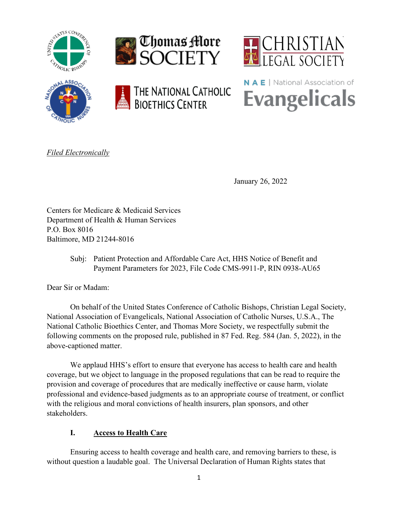











*Filed Electronically*

January 26, 2022

Centers for Medicare & Medicaid Services Department of Health & Human Services P.O. Box 8016 Baltimore, MD 21244-8016

> Subj: Patient Protection and Affordable Care Act, HHS Notice of Benefit and Payment Parameters for 2023, File Code CMS-9911-P, RIN 0938-AU65

Dear Sir or Madam:

On behalf of the United States Conference of Catholic Bishops, Christian Legal Society, National Association of Evangelicals, National Association of Catholic Nurses, U.S.A., The National Catholic Bioethics Center, and Thomas More Society, we respectfully submit the following comments on the proposed rule, published in 87 Fed. Reg. 584 (Jan. 5, 2022), in the above-captioned matter.

We applaud HHS's effort to ensure that everyone has access to health care and health coverage, but we object to language in the proposed regulations that can be read to require the provision and coverage of procedures that are medically ineffective or cause harm, violate professional and evidence-based judgments as to an appropriate course of treatment, or conflict with the religious and moral convictions of health insurers, plan sponsors, and other stakeholders.

# **I. Access to Health Care**

Ensuring access to health coverage and health care, and removing barriers to these, is without question a laudable goal. The Universal Declaration of Human Rights states that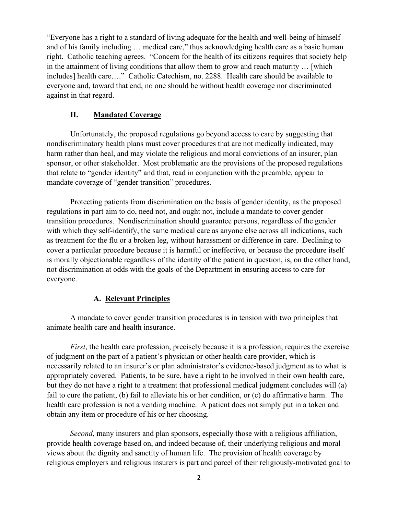"Everyone has a right to a standard of living adequate for the health and well-being of himself and of his family including … medical care," thus acknowledging health care as a basic human right. Catholic teaching agrees. "Concern for the health of its citizens requires that society help in the attainment of living conditions that allow them to grow and reach maturity … [which includes] health care…." Catholic Catechism, no. 2288. Health care should be available to everyone and, toward that end, no one should be without health coverage nor discriminated against in that regard.

# **II. Mandated Coverage**

Unfortunately, the proposed regulations go beyond access to care by suggesting that nondiscriminatory health plans must cover procedures that are not medically indicated, may harm rather than heal, and may violate the religious and moral convictions of an insurer, plan sponsor, or other stakeholder. Most problematic are the provisions of the proposed regulations that relate to "gender identity" and that, read in conjunction with the preamble, appear to mandate coverage of "gender transition" procedures.

Protecting patients from discrimination on the basis of gender identity, as the proposed regulations in part aim to do, need not, and ought not, include a mandate to cover gender transition procedures. Nondiscrimination should guarantee persons, regardless of the gender with which they self-identify, the same medical care as anyone else across all indications, such as treatment for the flu or a broken leg, without harassment or difference in care. Declining to cover a particular procedure because it is harmful or ineffective, or because the procedure itself is morally objectionable regardless of the identity of the patient in question, is, on the other hand, not discrimination at odds with the goals of the Department in ensuring access to care for everyone.

## **A. Relevant Principles**

A mandate to cover gender transition procedures is in tension with two principles that animate health care and health insurance.

*First*, the health care profession, precisely because it is a profession, requires the exercise of judgment on the part of a patient's physician or other health care provider, which is necessarily related to an insurer's or plan administrator's evidence-based judgment as to what is appropriately covered. Patients, to be sure, have a right to be involved in their own health care, but they do not have a right to a treatment that professional medical judgment concludes will (a) fail to cure the patient, (b) fail to alleviate his or her condition, or (c) do affirmative harm. The health care profession is not a vending machine. A patient does not simply put in a token and obtain any item or procedure of his or her choosing.

*Second*, many insurers and plan sponsors, especially those with a religious affiliation, provide health coverage based on, and indeed because of, their underlying religious and moral views about the dignity and sanctity of human life. The provision of health coverage by religious employers and religious insurers is part and parcel of their religiously-motivated goal to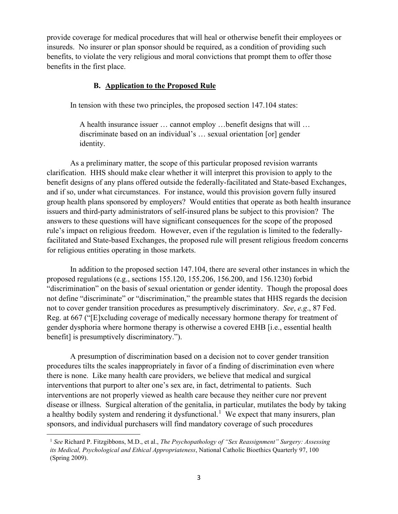provide coverage for medical procedures that will heal or otherwise benefit their employees or insureds. No insurer or plan sponsor should be required, as a condition of providing such benefits, to violate the very religious and moral convictions that prompt them to offer those benefits in the first place.

## **B. Application to the Proposed Rule**

In tension with these two principles, the proposed section 147.104 states:

A health insurance issuer … cannot employ …benefit designs that will … discriminate based on an individual's … sexual orientation [or] gender identity.

As a preliminary matter, the scope of this particular proposed revision warrants clarification. HHS should make clear whether it will interpret this provision to apply to the benefit designs of any plans offered outside the federally-facilitated and State-based Exchanges, and if so, under what circumstances. For instance, would this provision govern fully insured group health plans sponsored by employers? Would entities that operate as both health insurance issuers and third-party administrators of self-insured plans be subject to this provision? The answers to these questions will have significant consequences for the scope of the proposed rule's impact on religious freedom. However, even if the regulation is limited to the federallyfacilitated and State-based Exchanges, the proposed rule will present religious freedom concerns for religious entities operating in those markets.

In addition to the proposed section 147.104, there are several other instances in which the proposed regulations (e.g., sections 155.120, 155.206, 156.200, and 156.1230) forbid "discrimination" on the basis of sexual orientation or gender identity. Though the proposal does not define "discriminate" or "discrimination," the preamble states that HHS regards the decision not to cover gender transition procedures as presumptively discriminatory. *See*, *e.g*., 87 Fed. Reg. at 667 ("[E]xcluding coverage of medically necessary hormone therapy for treatment of gender dysphoria where hormone therapy is otherwise a covered EHB [i.e., essential health benefit] is presumptively discriminatory.").

A presumption of discrimination based on a decision not to cover gender transition procedures tilts the scales inappropriately in favor of a finding of discrimination even where there is none. Like many health care providers, we believe that medical and surgical interventions that purport to alter one's sex are, in fact, detrimental to patients. Such interventions are not properly viewed as health care because they neither cure nor prevent disease or illness. Surgical alteration of the genitalia, in particular, mutilates the body by taking a healthy bodily system and rendering it dysfunctional.<sup>[1](#page-2-0)</sup> We expect that many insurers, plan sponsors, and individual purchasers will find mandatory coverage of such procedures

<span id="page-2-0"></span><sup>1</sup> *See* Richard P. Fitzgibbons, M.D., et al., *The Psychopathology of "Sex Reassignment" Surgery: Assessing its Medical, Psychological and Ethical Appropriateness*, National Catholic Bioethics Quarterly 97, 100 (Spring 2009).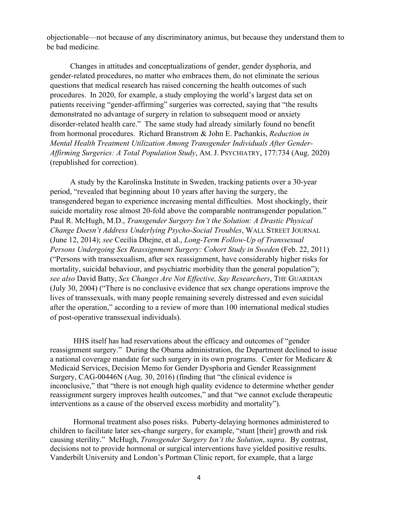objectionable—not because of any discriminatory animus, but because they understand them to be bad medicine.

Changes in attitudes and conceptualizations of gender, gender dysphoria, and gender-related procedures, no matter who embraces them, do not eliminate the serious questions that medical research has raised concerning the health outcomes of such procedures. In 2020, for example, a study employing the world's largest data set on patients receiving "gender-affirming" surgeries was corrected, saying that "the results demonstrated no advantage of surgery in relation to subsequent mood or anxiety disorder-related health care." The same study had already similarly found no benefit from hormonal procedures. Richard Branstrom & John E. Pachankis, *Reduction in Mental Health Treatment Utilization Among Transgender Individuals After Gender-Affirming Surgeries: A Total Population Study*, AM. J. PSYCHIATRY, 177:734 (Aug. 2020) (republished for correction).

A study by the Karolinska Institute in Sweden, tracking patients over a 30-year period, "revealed that beginning about 10 years after having the surgery, the transgendered began to experience increasing mental difficulties. Most shockingly, their suicide mortality rose almost 20-fold above the comparable nontransgender population." Paul R. McHugh, M.D., *Transgender Surgery Isn't the Solution: A Drastic Physical Change Doesn't Address Underlying Psycho-Social Troubles*, WALL STREET JOURNAL (June 12, 2014); *see* Cecilia Dhejne, et al., *Long-Term Follow-Up of Transsexual Persons Undergoing Sex Reassignment Surgery: Cohort Study in Sweden* (Feb. 22, 2011) ("Persons with transsexualism, after sex reassignment, have considerably higher risks for mortality, suicidal behaviour, and psychiatric morbidity than the general population"); *see also* David Batty, *Sex Changes Are Not Effective, Say Researchers*, THE GUARDIAN (July 30, 2004) ("There is no conclusive evidence that sex change operations improve the lives of transsexuals, with many people remaining severely distressed and even suicidal after the operation," according to a review of more than 100 international medical studies of post-operative transsexual individuals).

HHS itself has had reservations about the efficacy and outcomes of "gender reassignment surgery." During the Obama administration, the Department declined to issue a national coverage mandate for such surgery in its own programs. Center for Medicare  $\&$ Medicaid Services, Decision Memo for Gender Dysphoria and Gender Reassignment Surgery, CAG-00446N (Aug. 30, 2016) (finding that "the clinical evidence is inconclusive," that "there is not enough high quality evidence to determine whether gender reassignment surgery improves health outcomes," and that "we cannot exclude therapeutic interventions as a cause of the observed excess morbidity and mortality").

Hormonal treatment also poses risks. Puberty-delaying hormones administered to children to facilitate later sex-change surgery, for example, "stunt [their] growth and risk causing sterility." McHugh, *Transgender Surgery Isn't the Solution*, *supra*. By contrast, decisions not to provide hormonal or surgical interventions have yielded positive results. Vanderbilt University and London's Portman Clinic report, for example, that a large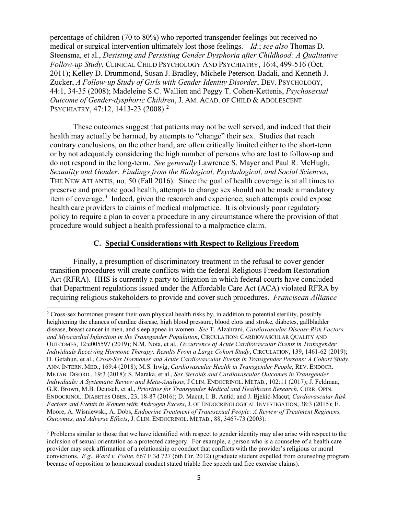percentage of children (70 to 80%) who reported transgender feelings but received no medical or surgical intervention ultimately lost those feelings. *Id*.; *see also* Thomas D. Steensma, et al., *Desisting and Persisting Gender Dysphoria after Childhood: A Qualitative Follow‐up Study*, CLINICAL CHILD PSYCHOLOGY AND PSYCHIATRY, 16:4, 499-516 (Oct. 2011); Kelley D. Drummond, Susan J. Bradley, Michele Peterson-Badali, and Kenneth J. Zucker, *A Follow‐up Study of Girls with Gender Identity Disorder*, DEV. PSYCHOLOGY, 44:1, 34-35 (2008); Madeleine S.C. Wallien and Peggy T. Cohen-Kettenis, *Psychosexual Outcome of Gender-dysphoric Children*, J. AM. ACAD. OF CHILD & ADOLESCENT PSYCHIATRY, 47:1[2](#page-4-0), 1413-23 (2008).<sup>2</sup>

These outcomes suggest that patients may not be well served, and indeed that their health may actually be harmed, by attempts to "change" their sex. Studies that reach contrary conclusions, on the other hand, are often critically limited either to the short-term or by not adequately considering the high number of persons who are lost to follow-up and do not respond in the long-term. *See generally* Lawrence S. Mayer and Paul R. McHugh, *Sexuality and Gender: Findings from the Biological, Psychological, and Social Sciences*, THE NEW ATLANTIS, no. 50 (Fall 2016). Since the goal of health coverage is at all times to preserve and promote good health, attempts to change sex should not be made a mandatory item of coverage. $3$  Indeed, given the research and experience, such attempts could expose health care providers to claims of medical malpractice. It is obviously poor regulatory policy to require a plan to cover a procedure in any circumstance where the provision of that procedure would subject a health professional to a malpractice claim.

#### **C. Special Considerations with Respect to Religious Freedom**

Finally, a presumption of discriminatory treatment in the refusal to cover gender transition procedures will create conflicts with the federal Religious Freedom Restoration Act (RFRA). HHS is currently a party to litigation in which federal courts have concluded that Department regulations issued under the Affordable Care Act (ACA) violated RFRA by requiring religious stakeholders to provide and cover such procedures. *Franciscan Alliance* 

<span id="page-4-0"></span><sup>&</sup>lt;sup>2</sup> Cross-sex hormones present their own physical health risks by, in addition to potential sterility, possibly heightening the chances of cardiac disease, high blood pressure, blood clots and stroke, diabetes, gallbladder disease, breast cancer in men, and sleep apnea in women. *See* T. Alzahrani, *Cardiovascular Disease Risk Factors and Myocardial Infarction in the Transgender Population*, CIRCULATION: CARDIOVASCULAR QUALITY AND OUTCOMES, 12:e005597 (2019); N.M. Nota, et al*., Occurrence of Acute Cardiovascular Events in Transgender Individuals Receiving Hormone Therapy: Results From a Large Cohort Study*, CIRCULATION, 139, 1461-62 (2019); D. Getahun, et al., *Cross‐Sex Hormones and Acute Cardiovascular Events in Transgender Persons: A Cohort Study*, ANN. INTERN. MED., 169:4 (2018); M.S. Irwig, *Cardiovascular Health in Transgender People*, REV. ENDOCR. METAB. DISORD., 19:3 (2018); S. Maraka, et al., *Sex Steroids and Cardiovascular Outcomes in Transgender Individuals: A Systematic Review and Meta‐Analysis*, J CLIN. ENDOCRINOL. METAB., 102:11 (2017); J. Feldman, G.R. Brown, M.B. Deutsch, et al., *Priorities for Transgender Medical and Healthcare Research*, CURR. OPIN. ENDOCRINOL. DIABETES OBES., 23, 18-87 (2016); D. Macut, I. B. Antić, and J. Bjekić‐Macut, *Cardiovascular Risk Factors and Events in Women with Androgen Excess*, J. OF ENDOCRINOLOGICAL INVESTIGATION, 38:3 (2015); E. Moore, A. Wisniewski, A. Dobs, *Endocrine Treatment of Transsexual People: A Review of Treatment Regimens, Outcomes, and Adverse Effects*, J. CLIN. ENDOCRINOL. METAB., 88, 3467-73 (2003).

<span id="page-4-1"></span><sup>&</sup>lt;sup>3</sup> Problems similar to those that we have identified with respect to gender identity may also arise with respect to the inclusion of sexual orientation as a protected category. For example, a person who is a counselee of a health care provider may seek affirmation of a relationship or conduct that conflicts with the provider's religious or moral convictions. *E.g*., *Ward v. Polite*, 667 F.3d 727 (6th Cir. 2012) (graduate student expelled from counseling program because of opposition to homosexual conduct stated triable free speech and free exercise claims).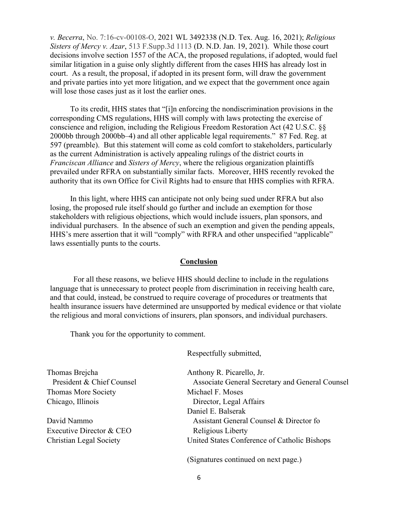*v. Becerra*, No. 7:16-cv-00108-O, 2021 WL 3492338 (N.D. Tex. Aug. 16, 2021); *Religious Sisters of Mercy v. Azar*, 513 F.Supp.3d 1113 (D. N.D. Jan. 19, 2021). While those court decisions involve section 1557 of the ACA, the proposed regulations, if adopted, would fuel similar litigation in a guise only slightly different from the cases HHS has already lost in court. As a result, the proposal, if adopted in its present form, will draw the government and private parties into yet more litigation, and we expect that the government once again will lose those cases just as it lost the earlier ones.

To its credit, HHS states that "[i]n enforcing the nondiscrimination provisions in the corresponding CMS regulations, HHS will comply with laws protecting the exercise of conscience and religion, including the Religious Freedom Restoration Act (42 U.S.C. §§ 2000bb through 2000bb–4) and all other applicable legal requirements." 87 Fed. Reg. at 597 (preamble). But this statement will come as cold comfort to stakeholders, particularly as the current Administration is actively appealing rulings of the district courts in *Franciscan Alliance* and *Sisters of Mercy*, where the religious organization plaintiffs prevailed under RFRA on substantially similar facts. Moreover, HHS recently revoked the authority that its own Office for Civil Rights had to ensure that HHS complies with RFRA.

In this light, where HHS can anticipate not only being sued under RFRA but also losing, the proposed rule itself should go further and include an exemption for those stakeholders with religious objections, which would include issuers, plan sponsors, and individual purchasers. In the absence of such an exemption and given the pending appeals, HHS's mere assertion that it will "comply" with RFRA and other unspecified "applicable" laws essentially punts to the courts.

#### **Conclusion**

For all these reasons, we believe HHS should decline to include in the regulations language that is unnecessary to protect people from discrimination in receiving health care, and that could, instead, be construed to require coverage of procedures or treatments that health insurance issuers have determined are unsupported by medical evidence or that violate the religious and moral convictions of insurers, plan sponsors, and individual purchasers.

Thank you for the opportunity to comment.

Respectfully submitted,

Thomas Brejcha **Anthony R. Picarello**, Jr. Thomas More Society **Michael F. Moses** Chicago, Illinois Director, Legal Affairs

Executive Director & CEO Religious Liberty

President & Chief Counsel Associate General Secretary and General Counsel Daniel E. Balserak David Nammo Assistant General Counsel & Director fo Christian Legal Society United States Conference of Catholic Bishops

(Signatures continued on next page.)